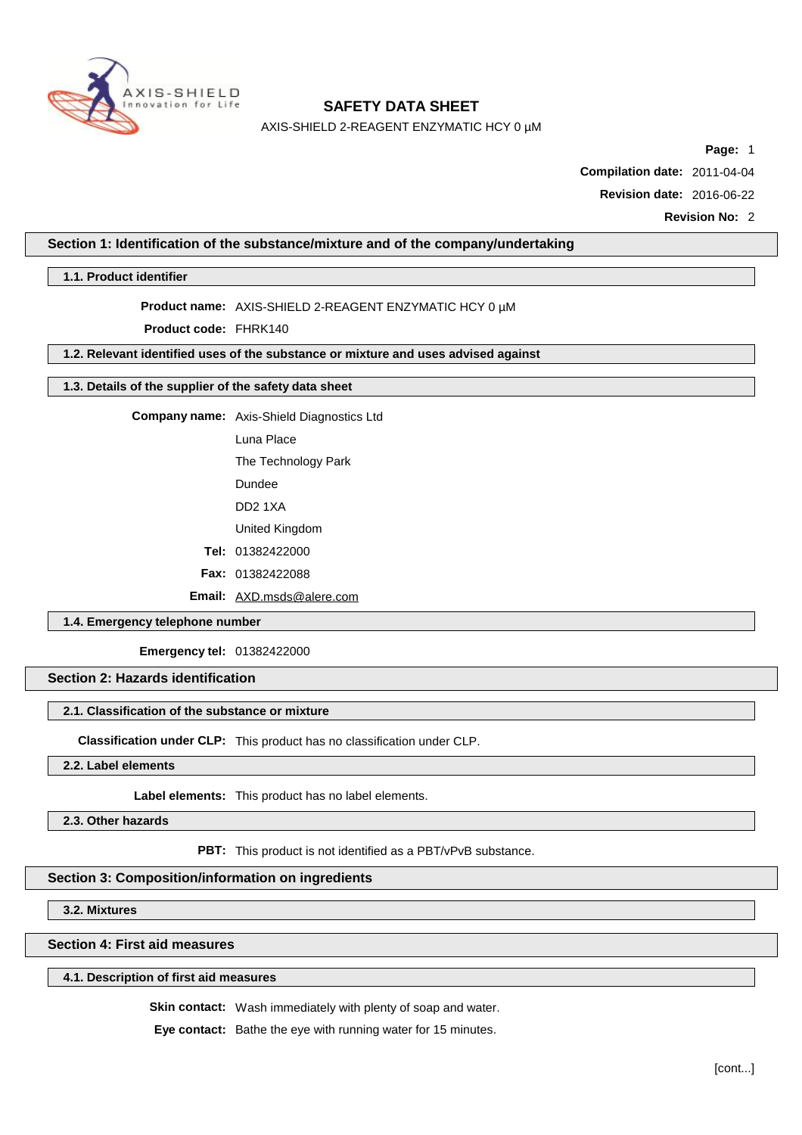

AXIS-SHIELD 2-REAGENT ENZYMATIC HCY 0 µM

**Page:** 1

**Compilation date:** 2011-04-04

**Revision date:** 2016-06-22

**Revision No:** 2

## **Section 1: Identification of the substance/mixture and of the company/undertaking**

**1.1. Product identifier**

## **Product name:** AXIS-SHIELD 2-REAGENT ENZYMATIC HCY 0 µM

**Product code:** FHRK140

## **1.2. Relevant identified uses of the substance or mixture and uses advised against**

## **1.3. Details of the supplier of the safety data sheet**

**Company name:** Axis-Shield Diagnostics Ltd

Luna Place

The Technology Park

Dundee

DD2 1XA

United Kingdom

**Tel:** 01382422000

**Fax:** 01382422088

**Email:** [AXD.msds@alere.com](mailto:AXD.msds@alere.com)

## **1.4. Emergency telephone number**

**Emergency tel:** 01382422000

## **Section 2: Hazards identification**

#### **2.1. Classification of the substance or mixture**

**Classification under CLP:** This product has no classification under CLP.

**2.2. Label elements**

**Label elements:** This product has no label elements.

**2.3. Other hazards**

**PBT:** This product is not identified as a PBT/vPvB substance.

## **Section 3: Composition/information on ingredients**

**3.2. Mixtures**

**Section 4: First aid measures**

## **4.1. Description of first aid measures**

**Skin contact:** Wash immediately with plenty of soap and water.

**Eye contact:** Bathe the eye with running water for 15 minutes.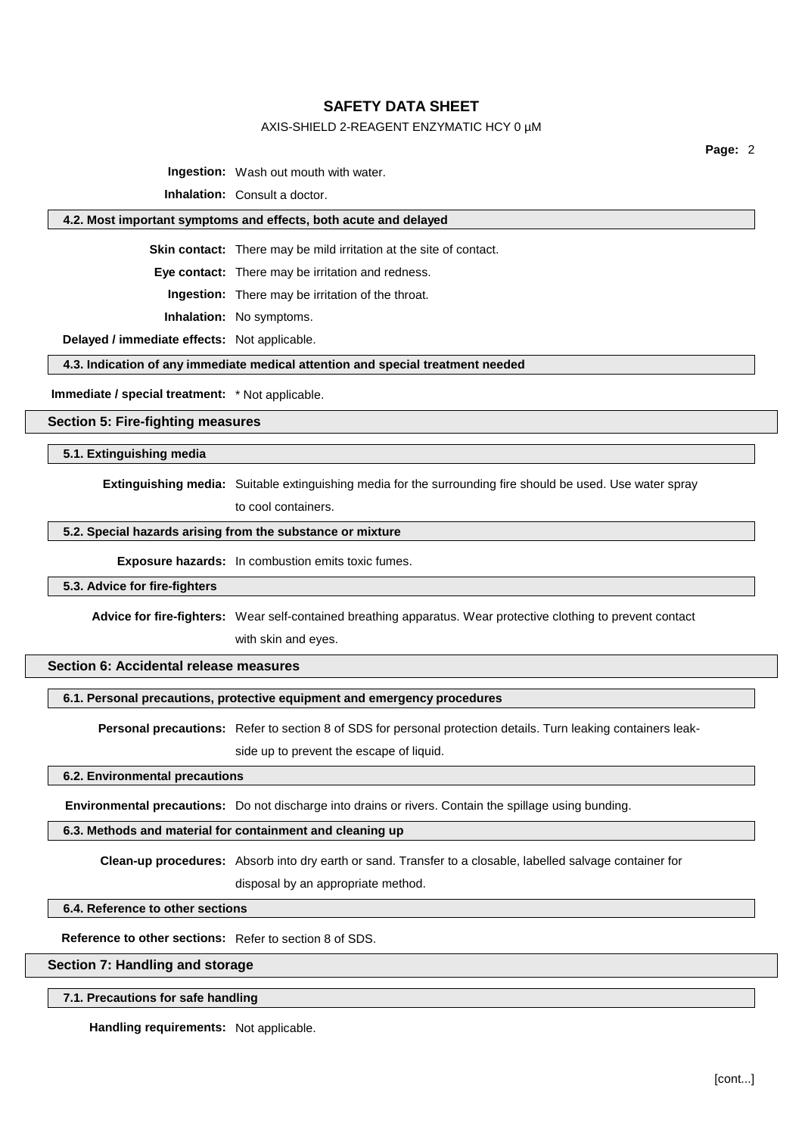## AXIS-SHIELD 2-REAGENT ENZYMATIC HCY 0 µM

**Page:** 2

**Ingestion:** Wash out mouth with water.

**Inhalation:** Consult a doctor.

## **4.2. Most important symptoms and effects, both acute and delayed**

**Skin contact:** There may be mild irritation at the site of contact.

**Eye contact:** There may be irritation and redness.

**Ingestion:** There may be irritation of the throat.

**Inhalation:** No symptoms.

**Delayed / immediate effects:** Not applicable.

**4.3. Indication of any immediate medical attention and special treatment needed**

**Immediate / special treatment:** \* Not applicable.

**Section 5: Fire-fighting measures**

**5.1. Extinguishing media**

**Extinguishing media:** Suitable extinguishing media for the surrounding fire should be used. Use water spray

to cool containers.

## **5.2. Special hazards arising from the substance or mixture**

**Exposure hazards:** In combustion emits toxic fumes.

#### **5.3. Advice for fire-fighters**

**Advice for fire-fighters:** Wear self-contained breathing apparatus. Wear protective clothing to prevent contact

with skin and eyes.

## **Section 6: Accidental release measures**

#### **6.1. Personal precautions, protective equipment and emergency procedures**

**Personal precautions:** Refer to section 8 of SDS for personal protection details. Turn leaking containers leak-

side up to prevent the escape of liquid.

## **6.2. Environmental precautions**

**Environmental precautions:** Do not discharge into drains or rivers. Contain the spillage using bunding.

# **6.3. Methods and material for containment and cleaning up**

**Clean-up procedures:** Absorb into dry earth or sand. Transfer to a closable, labelled salvage container for

disposal by an appropriate method.

**6.4. Reference to other sections**

**Reference to other sections:** Refer to section 8 of SDS.

#### **Section 7: Handling and storage**

#### **7.1. Precautions for safe handling**

**Handling requirements:** Not applicable.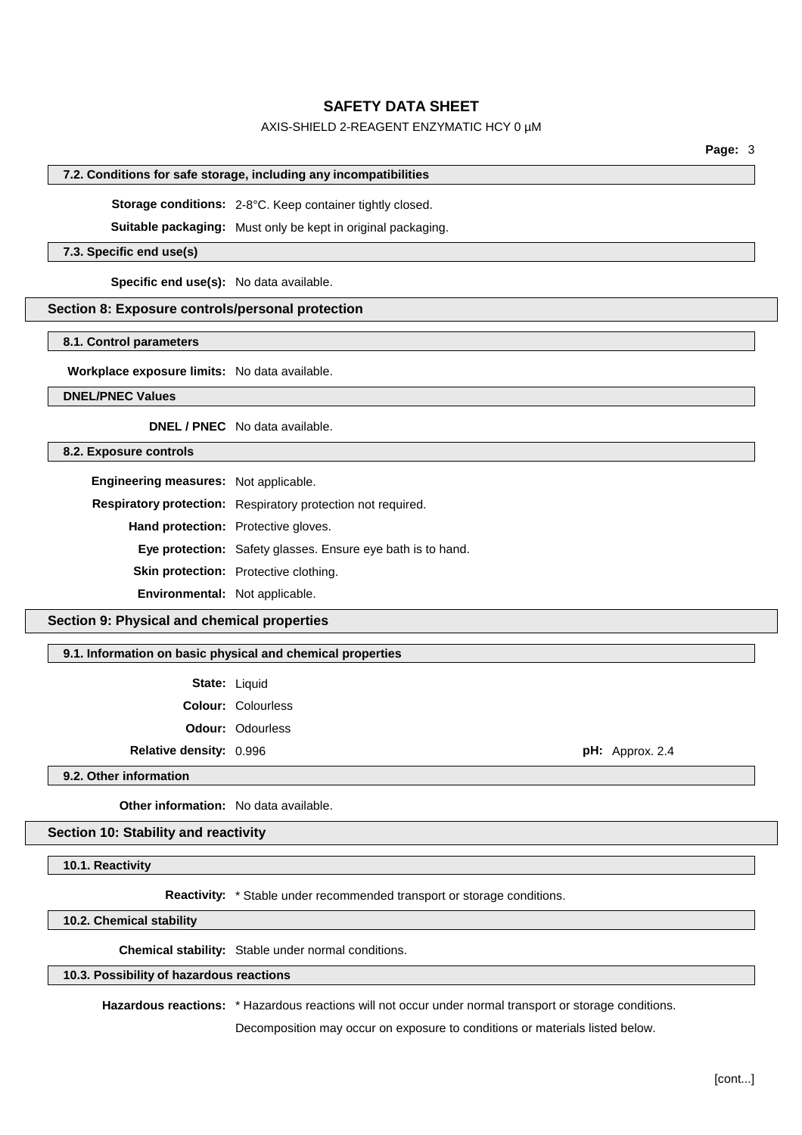## AXIS-SHIELD 2-REAGENT ENZYMATIC HCY 0 µM

**Page:** 3

#### **7.2. Conditions for safe storage, including any incompatibilities**

**Storage conditions:** 2-8°C. Keep container tightly closed.

**Suitable packaging:** Must only be kept in original packaging.

#### **7.3. Specific end use(s)**

**Specific end use(s):** No data available.

## **Section 8: Exposure controls/personal protection**

## **8.1. Control parameters**

**Workplace exposure limits:** No data available.

#### **DNEL/PNEC Values**

**DNEL / PNEC** No data available.

## **8.2. Exposure controls**

**Engineering measures:** Not applicable.

**Respiratory protection:** Respiratory protection not required.

**Hand protection:** Protective gloves.

**Eye protection:** Safety glasses. Ensure eye bath is to hand.

**Skin protection:** Protective clothing.

**Environmental:** Not applicable.

## **Section 9: Physical and chemical properties**

**9.1. Information on basic physical and chemical properties**

| State: | Liquid |
|--------|--------|
|--------|--------|

**Colour:** Colourless **Odour:** Odourless

**Relative density:** 0.996 **pH:** Approx. 2.4

**9.2. Other information**

**Other information:** No data available.

## **Section 10: Stability and reactivity**

**10.1. Reactivity**

**Reactivity:** \* Stable under recommended transport or storage conditions.

**10.2. Chemical stability**

**Chemical stability:** Stable under normal conditions.

# **10.3. Possibility of hazardous reactions**

**Hazardous reactions:** \* Hazardous reactions will not occur under normal transport or storage conditions.

Decomposition may occur on exposure to conditions or materials listed below.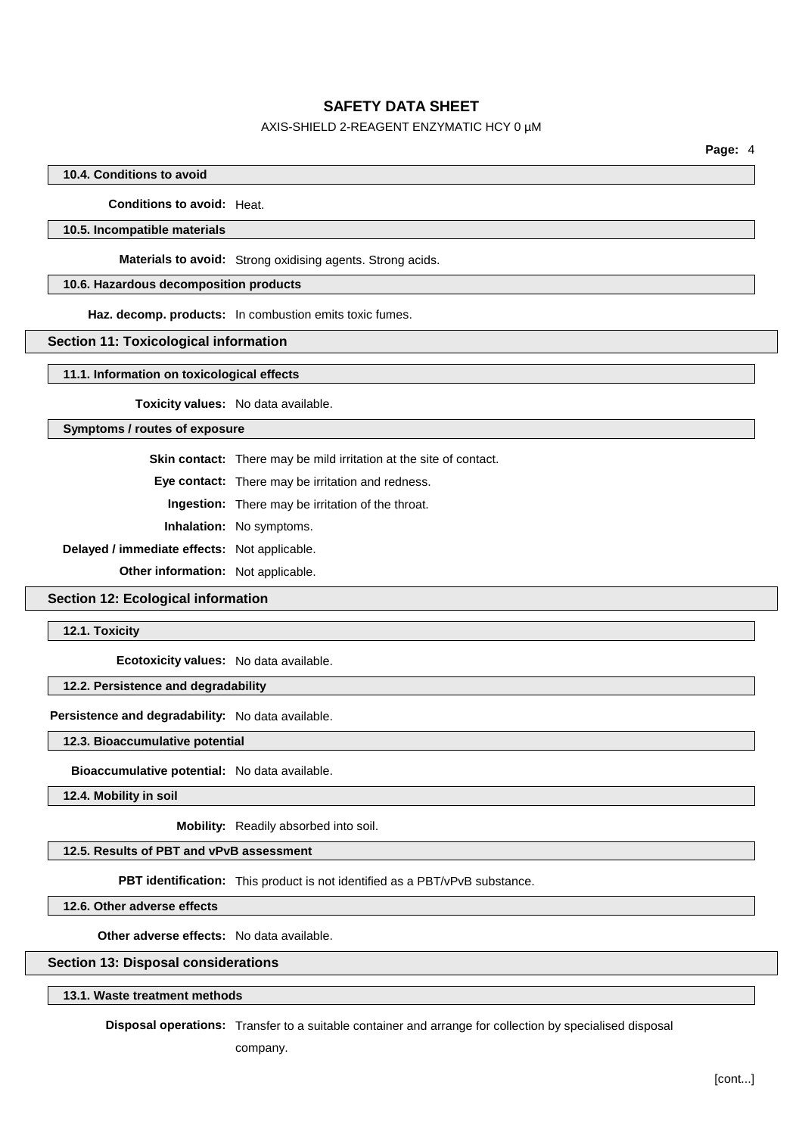## AXIS-SHIELD 2-REAGENT ENZYMATIC HCY 0 µM

**Page:** 4

### **10.4. Conditions to avoid**

**Conditions to avoid:** Heat.

### **10.5. Incompatible materials**

**Materials to avoid:** Strong oxidising agents. Strong acids.

## **10.6. Hazardous decomposition products**

**Haz. decomp. products:** In combustion emits toxic fumes.

#### **Section 11: Toxicological information**

**11.1. Information on toxicological effects**

**Toxicity values:** No data available.

## **Symptoms / routes of exposure**

**Skin contact:** There may be mild irritation at the site of contact.

**Eye contact:** There may be irritation and redness.

**Ingestion:** There may be irritation of the throat.

**Inhalation:** No symptoms.

**Delayed / immediate effects:** Not applicable.

**Other information:** Not applicable.

## **Section 12: Ecological information**

**12.1. Toxicity**

**Ecotoxicity values:** No data available.

## **12.2. Persistence and degradability**

# **Persistence and degradability:** No data available.

**12.3. Bioaccumulative potential**

**Bioaccumulative potential:** No data available.

**12.4. Mobility in soil**

**Mobility:** Readily absorbed into soil.

# **12.5. Results of PBT and vPvB assessment**

**PBT identification:** This product is not identified as a PBT/vPvB substance.

**12.6. Other adverse effects**

**Other adverse effects:** No data available.

#### **Section 13: Disposal considerations**

## **13.1. Waste treatment methods**

**Disposal operations:** Transfer to a suitable container and arrange for collection by specialised disposal

company.